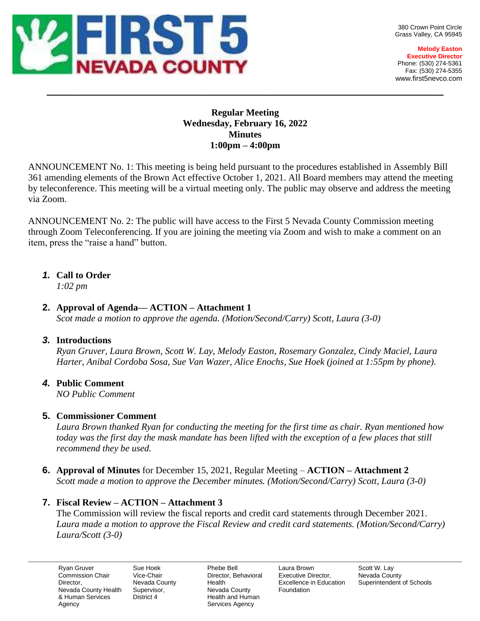

380 Crown Point Circle Grass Valley, CA 95945

**Melody Easton Executive Director** Phone: (530) 274-5361 Fax: (530) 274-5355 www.first5nevco.com

## **Regular Meeting Wednesday, February 16, 2022 Minutes 1:00pm – 4:00pm**

 $\_$  , and the set of the set of the set of the set of the set of the set of the set of the set of the set of the set of the set of the set of the set of the set of the set of the set of the set of the set of the set of th

ANNOUNCEMENT No. 1: This meeting is being held pursuant to the procedures established in Assembly Bill 361 amending elements of the Brown Act effective October 1, 2021. All Board members may attend the meeting by teleconference. This meeting will be a virtual meeting only. The public may observe and address the meeting via Zoom.

ANNOUNCEMENT No. 2: The public will have access to the First 5 Nevada County Commission meeting through Zoom Teleconferencing. If you are joining the meeting via Zoom and wish to make a comment on an item, press the "raise a hand" button.

# *1.* **Call to Order**

*1:02 pm*

## **2. Approval of Agenda— ACTION – Attachment 1**

*Scot made a motion to approve the agenda. (Motion/Second/Carry) Scott, Laura (3-0)*

# *3.* **Introductions**

*Ryan Gruver, Laura Brown, Scott W. Lay, Melody Easton, Rosemary Gonzalez, Cindy Maciel, Laura Harter, Anibal Cordoba Sosa, Sue Van Wazer, Alice Enochs, Sue Hoek (joined at 1:55pm by phone).* 

# *4.* **Public Comment**

*NO Public Comment*

# **5. Commissioner Comment**

*Laura Brown thanked Ryan for conducting the meeting for the first time as chair. Ryan mentioned how today was the first day the mask mandate has been lifted with the exception of a few places that still recommend they be used.* 

**6. Approval of Minutes** for December 15, 2021, Regular Meeting – **ACTION – Attachment 2** *Scott made a motion to approve the December minutes. (Motion/Second/Carry) Scott, Laura (3-0)*

# **7. Fiscal Review – ACTION – Attachment 3**

The Commission will review the fiscal reports and credit card statements through December 2021. *Laura made a motion to approve the Fiscal Review and credit card statements. (Motion/Second/Carry) Laura/Scott (3-0)*

Ryan Gruver Commission Chair Director, Nevada County Health & Human Services Agency

Sue Hoek Vice-Chair Nevada County Supervisor, District 4

Phebe Bell Director, Behavioral Health Nevada County Health and Human Services Agency

Laura Brown Executive Director, Excellence in Education Foundation

Scott W. Lay Nevada County Superintendent of Schools